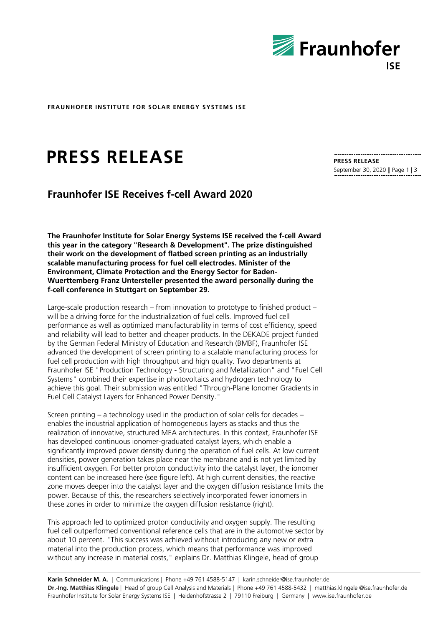

**FRAUNHOFER INSTITUTE FOR SOLAR ENERGY SYSTEMS ISE**

# **PRESS RELEASE**

## **Fraunhofer ISE Receives f-cell Award 2020**

**The Fraunhofer Institute for Solar Energy Systems ISE received the f-cell Award this year in the category "Research & Development". The prize distinguished their work on the development of flatbed screen printing as an industrially scalable manufacturing process for fuel cell electrodes. Minister of the Environment, Climate Protection and the Energy Sector for Baden-Wuerttemberg Franz Untersteller presented the award personally during the f-cell conference in Stuttgart on September 29.** 

Large-scale production research – from innovation to prototype to finished product – will be a driving force for the industrialization of fuel cells. Improved fuel cell performance as well as optimized manufacturability in terms of cost efficiency, speed and reliability will lead to better and cheaper products. In the DEKADE project funded by the German Federal Ministry of Education and Research (BMBF), Fraunhofer ISE advanced the development of screen printing to a scalable manufacturing process for fuel cell production with high throughput and high quality. Two departments at Fraunhofer ISE "Production Technology - Structuring and Metallization" and "Fuel Cell Systems" combined their expertise in photovoltaics and hydrogen technology to achieve this goal. Their submission was entitled "Through-Plane Ionomer Gradients in Fuel Cell Catalyst Layers for Enhanced Power Density."

Screen printing – a technology used in the production of solar cells for decades – enables the industrial application of homogeneous layers as stacks and thus the realization of innovative, structured MEA architectures. In this context, Fraunhofer ISE has developed continuous ionomer-graduated catalyst layers, which enable a significantly improved power density during the operation of fuel cells. At low current densities, power generation takes place near the membrane and is not yet limited by insufficient oxygen. For better proton conductivity into the catalyst layer, the ionomer content can be increased here (see figure left). At high current densities, the reactive zone moves deeper into the catalyst layer and the oxygen diffusion resistance limits the power. Because of this, the researchers selectively incorporated fewer ionomers in these zones in order to minimize the oxygen diffusion resistance (right).

This approach led to optimized proton conductivity and oxygen supply. The resulting fuel cell outperformed conventional reference cells that are in the automotive sector by about 10 percent. "This success was achieved without introducing any new or extra material into the production process, which means that performance was improved without any increase in material costs," explains Dr. Matthias Klingele, head of group

**Karin Schneider M. A.** | Communications | Phone +49 761 4588-5147 | karin.schneider@ise.fraunhofer.de **Dr.-Ing. Matthias Klingele** | Head of group Cell Analysis and Materials | Phone +49 761 4588-5432 | matthias.klingele @ise.fraunhofer.de Fraunhofer Institute for Solar Energy Systems ISE | Heidenhofstrasse 2 | 79110 Freiburg | Germany | www.ise.fraunhofer.de

**PRESS RELEASE** September 30, 2020 || Page 1 | 3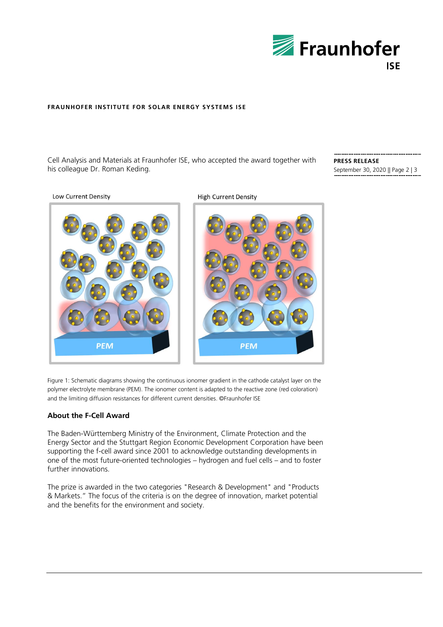

### **FRAUNHOFER INSTITUTE FOR SOLAR ENERGY SYSTEMS ISE**

Cell Analysis and Materials at Fraunhofer ISE, who accepted the award together with his colleague Dr. Roman Keding.

**PRESS RELEASE** September 30, 2020 || Page 2 | 3

**Low Current Density** 



**High Current Density** 



Figure 1: Schematic diagrams showing the continuous ionomer gradient in the cathode catalyst layer on the polymer electrolyte membrane (PEM). The ionomer content is adapted to the reactive zone (red coloration) and the limiting diffusion resistances for different current densities. ©Fraunhofer ISE

### **About the F-Cell Award**

The Baden-Württemberg Ministry of the Environment, Climate Protection and the Energy Sector and the Stuttgart Region Economic Development Corporation have been supporting the f-cell award since 2001 to acknowledge outstanding developments in one of the most future-oriented technologies – hydrogen and fuel cells – and to foster further innovations.

The prize is awarded in the two categories "Research & Development" and "Products & Markets." The focus of the criteria is on the degree of innovation, market potential and the benefits for the environment and society.